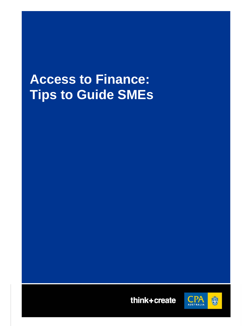# **Access to Finance: Tips to Guide SMEs**



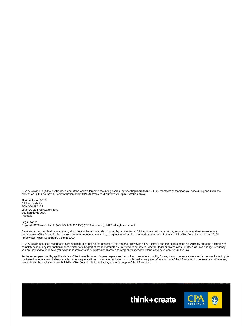CPA Australia Ltd ('CPA Australia') is one of the world's largest accounting bodies representing more than 139,000 members of the financial, accounting and business profession in 114 countries. For information about CPA Australia, visit our website **cpaaustralia.com.au** 

First published 2012 CPA Australia Ltd ACN 008 392 452 Level 20, 28 Freshwater Place Southbank Vic 3006 Australia

#### **Legal notice**

Copyright CPA Australia Ltd (ABN 64 008 392 452) ("CPA Australia"), 2012. All rights reserved.

Save and except for third party content, all content in these materials is owned by or licensed to CPA Australia. All trade marks, service marks and trade names are proprietory to CPA Australia. For permission to reproduce any material, a request in writing is to be made to the Legal Business Unit, CPA Australia Ltd, Level 20, 28 Freshwater Place, Southbank, Victoria 3000.

CPA Australia has used reasonable care and skill in compiling the content of this material. However, CPA Australia and the editors make no warranty as to the accuracy or<br>completeness of any information in these materials. you are advised to undertake your own research or to seek professional advice to keep abreast of any reforms and developments in the law.

To the extent permitted by applicable law, CPA Australia, its employees, agents and consultants exclude all liability for any loss or damage claims and expenses including but not limited to legal costs, indirect special or consequential loss or damage (including but not limited to, negligence) arising out of the information in the materials. Where any law prohibits the exclusion of such liability, CPA Australia limits its liability to the re-supply of the information.



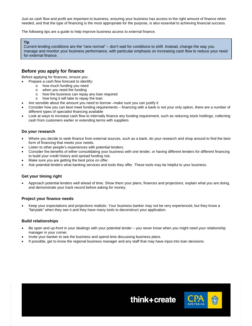Just as cash flow and profit are important to business, ensuring your business has access to the right amount of finance when needed, and that the type of financing is the most appropriate for the purpose, is also essential to achieving financial success.

The following tips are a guide to help improve business access to external finance.

#### **Tip**

Current lending conditions are the "new normal" – don't wait for conditions to shift. Instead, change the way you manage and monitor your business performance, with particular emphasis on increasing cash flow to reduce your need for external finance.

# **Before you apply for finance**

Before applying for finances, ensure you:

- Prepare a cash flow forecast to identify:
	- o how much funding you need
	- o when you need the funding
	- o how the business can repay any loan required
	- o how long it will take to repay the loan
- Are sensible about the amount you need to borrow –make sure you can justify it
- Consider how you can best meet funding requirements financing with a bank is not your only option, there are a number of different types of specialist financing available
- Look at ways to increase cash flow to internally finance any funding requirement, such as reducing stock holdings, collecting cash from customers earlier or extending terms with suppliers

#### **Do your research**

- Where you decide to seek finance from external sources, such as a bank, do your research and shop around to find the best form of financing that meets your needs.
- Listen to other people's experiences with potential lenders.
- Consider the benefits of either consolidating your business with one lender, or having different lenders for different financing to build your credit history and spread funding risk.
- Make sure you are getting the best price on offer.
- Ask potential lenders what banking services and tools they offer. These tools may be helpful to your business.

#### **Get your timing right**

 Approach potential lenders well ahead of time. Show them your plans, finances and projections, explain what you are doing, and demonstrate your track record before asking for money.

#### **Project your finance needs**

 Keep your expectations and projections realistic. Your business banker may not be very experienced, but they know a "fairytale" when they see it and they have many tools to deconstruct your application.

#### **Build relationships**

 Be open and up-front in your dealings with your potential lender – you never know when you might need your relationship manager in your corner.

think+create

\$

- Invite your banker to see the business and spend time discussing business plans.
- If possible, get to know the regional business manager and any staff that may have input into loan decisions.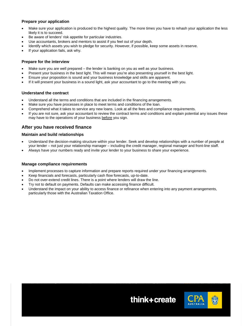# **Prepare your application**

- Make sure your application is produced to the highest quality. The more times you have to rehash your application the less likely it is to succeed.
- Be aware of lenders' risk appetite for particular industries.
- Use accountants, brokers and mentors to assist if you feel out of your depth.
- Identify which assets you wish to pledge for security. However, if possible, keep some assets in reserve.
- If your application fails, ask why.

#### **Prepare for the interview**

- Make sure you are well prepared the lender is banking on you as well as your business.
- Present your business in the best light. This will mean you're also presenting yourself in the best light.
- Ensure your proposition is sound and your business knowledge and skills are apparent.
- If it will present your business in a sound light, ask your accountant to go to the meeting with you.

### **Understand the contract**

- Understand all the terms and conditions that are included in the financing arrangements.
- Make sure you have processes in place to meet terms and conditions of the loan.
- Comprehend what it takes to service any new loans. Look at all the fees and compliance requirements.
- If you are not sure, ask your accountant to review the contract terms and conditions and explain potential any issues these may have to the operations of your business before you sign.

# **After you have received finance**

### **Maintain and build relationships**

- Understand the decision-making structure within your lender. Seek and develop relationships with a number of people at your lender – not just your relationship manager – including the credit manager, regional manager and front-line staff.
- Always have your numbers ready and invite your lender to your business to share your experience.

#### **Manage compliance requirements**

- Implement processes to capture information and prepare reports required under your financing arrangements.
- Keep financials and forecasts, particularly cash flow forecasts, up-to-date.
- Do not over-extend credit lines. There is a point where lenders will draw the line.
- Try not to default on payments. Defaults can make accessing finance difficult.
- Understand the impact on your ability to access finance or refinance when entering into any payment arrangements, particularly those with the Australian Taxation Office.



think+create